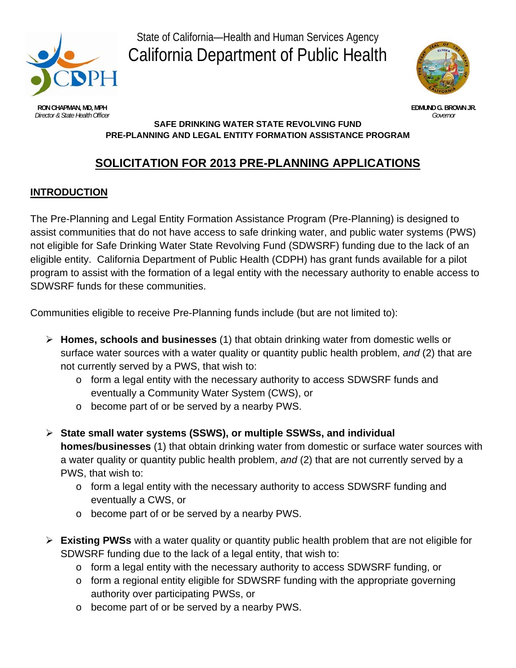

State of California—Health and Human Services Agency California Department of Public Health



**RON CHAPMAN, MD, MPH EDMUND G. BROWN JR.**<br>Director & State Health Officer **Containers and Containers and Containers and Containers and Containers and Containers and Containers and Containers and Containers and Container Director & State Health Officer** 

#### **SAFE DRINKING WATER STATE REVOLVING FUND PRE-PLANNING AND LEGAL ENTITY FORMATION ASSISTANCE PROGRAM**

# **SOLICITATION FOR 2013 PRE-PLANNING APPLICATIONS**

# **INTRODUCTION**

The Pre-Planning and Legal Entity Formation Assistance Program (Pre-Planning) is designed to assist communities that do not have access to safe drinking water, and public water systems (PWS) not eligible for Safe Drinking Water State Revolving Fund (SDWSRF) funding due to the lack of an eligible entity. California Department of Public Health (CDPH) has grant funds available for a pilot program to assist with the formation of a legal entity with the necessary authority to enable access to SDWSRF funds for these communities.

Communities eligible to receive Pre-Planning funds include (but are not limited to):

- **Homes, schools and businesses** (1) that obtain drinking water from domestic wells or surface water sources with a water quality or quantity public health problem, *and* (2) that are not currently served by a PWS, that wish to:
	- o form a legal entity with the necessary authority to access SDWSRF funds and eventually a Community Water System (CWS), or
	- o become part of or be served by a nearby PWS.
- **State small water systems (SSWS), or multiple SSWSs, and individual homes/businesses** (1) that obtain drinking water from domestic or surface water sources with a water quality or quantity public health problem, *and* (2) that are not currently served by a PWS, that wish to:
	- o form a legal entity with the necessary authority to access SDWSRF funding and eventually a CWS, or
	- o become part of or be served by a nearby PWS.
- **Existing PWSs** with a water quality or quantity public health problem that are not eligible for SDWSRF funding due to the lack of a legal entity, that wish to:
	- o form a legal entity with the necessary authority to access SDWSRF funding, or
	- o form a regional entity eligible for SDWSRF funding with the appropriate governing authority over participating PWSs, or
	- o become part of or be served by a nearby PWS.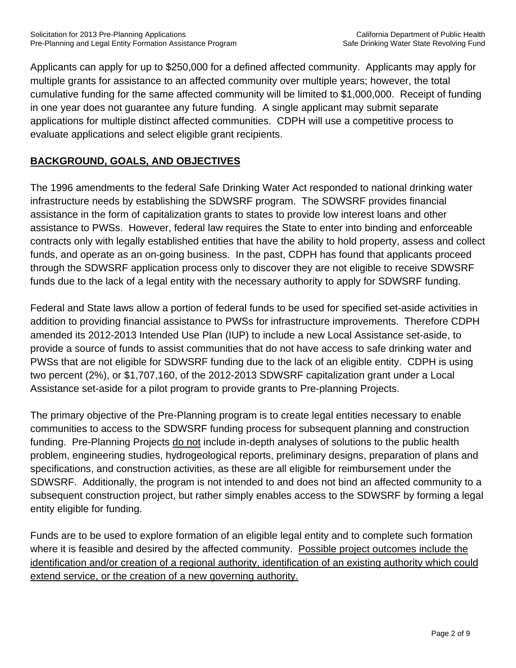Applicants can apply for up to \$250,000 for a defined affected community. Applicants may apply for multiple grants for assistance to an affected community over multiple years; however, the total cumulative funding for the same affected community will be limited to \$1,000,000. Receipt of funding in one year does not guarantee any future funding. A single applicant may submit separate applications for multiple distinct affected communities. CDPH will use a competitive process to evaluate applications and select eligible grant recipients.

# **BACKGROUND, GOALS, AND OBJECTIVES**

The 1996 amendments to the federal Safe Drinking Water Act responded to national drinking water infrastructure needs by establishing the SDWSRF program. The SDWSRF provides financial assistance in the form of capitalization grants to states to provide low interest loans and other assistance to PWSs. However, federal law requires the State to enter into binding and enforceable contracts only with legally established entities that have the ability to hold property, assess and collect funds, and operate as an on-going business. In the past, CDPH has found that applicants proceed through the SDWSRF application process only to discover they are not eligible to receive SDWSRF funds due to the lack of a legal entity with the necessary authority to apply for SDWSRF funding.

Federal and State laws allow a portion of federal funds to be used for specified set-aside activities in addition to providing financial assistance to PWSs for infrastructure improvements. Therefore CDPH amended its 2012-2013 Intended Use Plan (IUP) to include a new Local Assistance set-aside, to provide a source of funds to assist communities that do not have access to safe drinking water and PWSs that are not eligible for SDWSRF funding due to the lack of an eligible entity. CDPH is using two percent (2%), or \$1,707,160, of the 2012-2013 SDWSRF capitalization grant under a Local Assistance set-aside for a pilot program to provide grants to Pre-planning Projects.

The primary objective of the Pre-Planning program is to create legal entities necessary to enable communities to access to the SDWSRF funding process for subsequent planning and construction funding. Pre-Planning Projects do not include in-depth analyses of solutions to the public health problem, engineering studies, hydrogeological reports, preliminary designs, preparation of plans and specifications, and construction activities, as these are all eligible for reimbursement under the SDWSRF. Additionally, the program is not intended to and does not bind an affected community to a subsequent construction project, but rather simply enables access to the SDWSRF by forming a legal entity eligible for funding.

Funds are to be used to explore formation of an eligible legal entity and to complete such formation where it is feasible and desired by the affected community. Possible project outcomes include the identification and/or creation of a regional authority, identification of an existing authority which could extend service, or the creation of a new governing authority.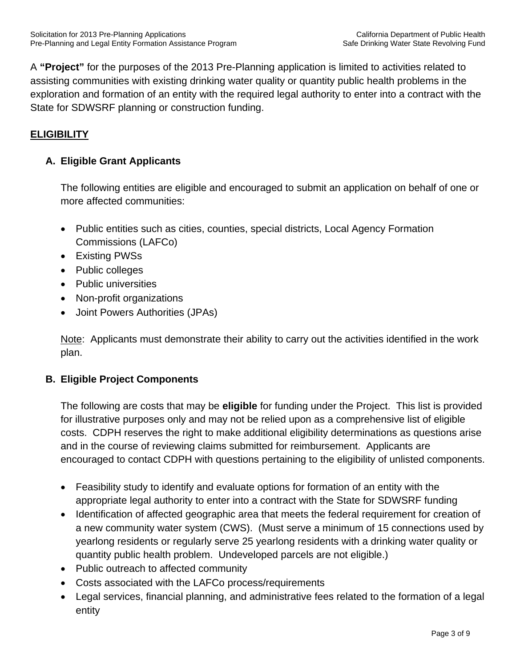A **"Project"** for the purposes of the 2013 Pre-Planning application is limited to activities related to assisting communities with existing drinking water quality or quantity public health problems in the exploration and formation of an entity with the required legal authority to enter into a contract with the State for SDWSRF planning or construction funding.

# **ELIGIBILITY**

#### **A. Eligible Grant Applicants**

The following entities are eligible and encouraged to submit an application on behalf of one or more affected communities:

- Public entities such as cities, counties, special districts, Local Agency Formation Commissions (LAFCo)
- Existing PWSs
- Public colleges
- Public universities
- Non-profit organizations
- Joint Powers Authorities (JPAs)

Note: Applicants must demonstrate their ability to carry out the activities identified in the work plan.

#### **B. Eligible Project Components**

The following are costs that may be **eligible** for funding under the Project. This list is provided for illustrative purposes only and may not be relied upon as a comprehensive list of eligible costs. CDPH reserves the right to make additional eligibility determinations as questions arise and in the course of reviewing claims submitted for reimbursement. Applicants are encouraged to contact CDPH with questions pertaining to the eligibility of unlisted components.

- Feasibility study to identify and evaluate options for formation of an entity with the appropriate legal authority to enter into a contract with the State for SDWSRF funding
- Identification of affected geographic area that meets the federal requirement for creation of a new community water system (CWS). (Must serve a minimum of 15 connections used by yearlong residents or regularly serve 25 yearlong residents with a drinking water quality or quantity public health problem. Undeveloped parcels are not eligible.)
- Public outreach to affected community
- Costs associated with the LAFCo process/requirements
- Legal services, financial planning, and administrative fees related to the formation of a legal entity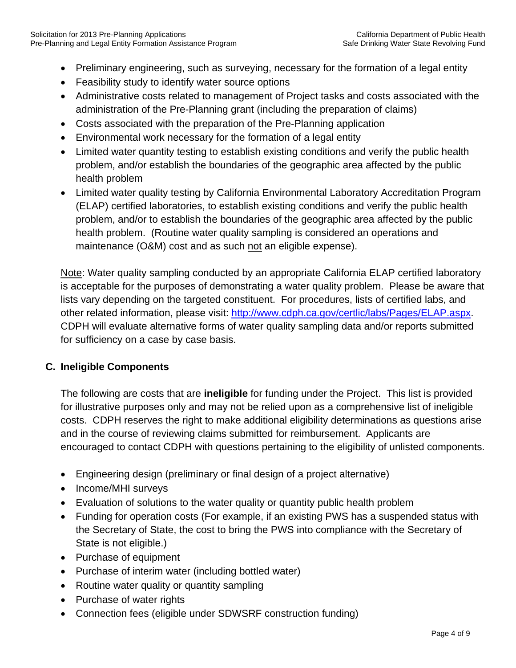- Preliminary engineering, such as surveying, necessary for the formation of a legal entity
- Feasibility study to identify water source options
- Administrative costs related to management of Project tasks and costs associated with the administration of the Pre-Planning grant (including the preparation of claims)
- Costs associated with the preparation of the Pre-Planning application
- Environmental work necessary for the formation of a legal entity
- Limited water quantity testing to establish existing conditions and verify the public health problem, and/or establish the boundaries of the geographic area affected by the public health problem
- Limited water quality testing by California Environmental Laboratory Accreditation Program (ELAP) certified laboratories, to establish existing conditions and verify the public health problem, and/or to establish the boundaries of the geographic area affected by the public health problem. (Routine water quality sampling is considered an operations and maintenance (O&M) cost and as such not an eligible expense).

Note: Water quality sampling conducted by an appropriate California ELAP certified laboratory is acceptable for the purposes of demonstrating a water quality problem. Please be aware that lists vary depending on the targeted constituent. For procedures, lists of certified labs, and other related information, please visit: http://www.cdph.ca.gov/certlic/labs/Pages/ELAP.aspx. CDPH will evaluate alternative forms of water quality sampling data and/or reports submitted for sufficiency on a case by case basis.

# **C. Ineligible Components**

The following are costs that are **ineligible** for funding under the Project. This list is provided for illustrative purposes only and may not be relied upon as a comprehensive list of ineligible costs. CDPH reserves the right to make additional eligibility determinations as questions arise and in the course of reviewing claims submitted for reimbursement. Applicants are encouraged to contact CDPH with questions pertaining to the eligibility of unlisted components.

- Engineering design (preliminary or final design of a project alternative)
- Income/MHI surveys
- Evaluation of solutions to the water quality or quantity public health problem
- Funding for operation costs (For example, if an existing PWS has a suspended status with the Secretary of State, the cost to bring the PWS into compliance with the Secretary of State is not eligible.)
- Purchase of equipment
- Purchase of interim water (including bottled water)
- Routine water quality or quantity sampling
- Purchase of water rights
- Connection fees (eligible under SDWSRF construction funding)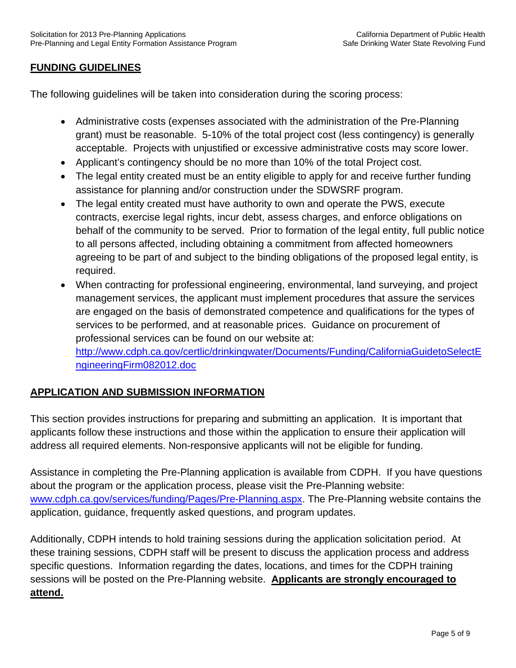#### **FUNDING GUIDELINES**

The following guidelines will be taken into consideration during the scoring process:

- Administrative costs (expenses associated with the administration of the Pre-Planning grant) must be reasonable. 5-10% of the total project cost (less contingency) is generally acceptable. Projects with unjustified or excessive administrative costs may score lower.
- Applicant's contingency should be no more than 10% of the total Project cost.
- The legal entity created must be an entity eligible to apply for and receive further funding assistance for planning and/or construction under the SDWSRF program.
- The legal entity created must have authority to own and operate the PWS, execute contracts, exercise legal rights, incur debt, assess charges, and enforce obligations on behalf of the community to be served. Prior to formation of the legal entity, full public notice to all persons affected, including obtaining a commitment from affected homeowners agreeing to be part of and subject to the binding obligations of the proposed legal entity, is required.
- When contracting for professional engineering, environmental, land surveying, and project management services, the applicant must implement procedures that assure the services are engaged on the basis of demonstrated competence and qualifications for the types of services to be performed, and at reasonable prices. Guidance on procurement of professional services can be found on our website at: http://www.cdph.ca.gov/certlic/drinkingwater/Documents/Funding/CaliforniaGuidetoSelectE ngineeringFirm082012.doc

# **APPLICATION AND SUBMISSION INFORMATION**

This section provides instructions for preparing and submitting an application. It is important that applicants follow these instructions and those within the application to ensure their application will address all required elements. Non-responsive applicants will not be eligible for funding.

Assistance in completing the Pre-Planning application is available from CDPH. If you have questions about the program or the application process, please visit the Pre-Planning website: www.cdph.ca.gov/services/funding/Pages/Pre-Planning.aspx. The Pre-Planning website contains the application, guidance, frequently asked questions, and program updates.

Additionally, CDPH intends to hold training sessions during the application solicitation period. At these training sessions, CDPH staff will be present to discuss the application process and address specific questions. Information regarding the dates, locations, and times for the CDPH training sessions will be posted on the Pre-Planning website. **Applicants are strongly encouraged to attend.**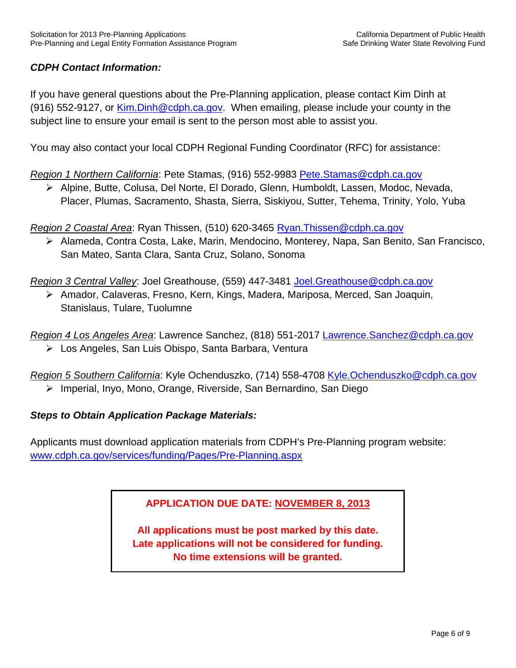# *CDPH Contact Information:*

If you have general questions about the Pre-Planning application, please contact Kim Dinh at (916) 552-9127, or Kim.Dinh@cdph.ca.gov. When emailing, please include your county in the subject line to ensure your email is sent to the person most able to assist you.

You may also contact your local CDPH Regional Funding Coordinator (RFC) for assistance:

*Region 1 Northern California*: Pete Stamas, (916) 552-9983 Pete.Stamas@cdph.ca.gov

 Alpine, Butte, Colusa, Del Norte, El Dorado, Glenn, Humboldt, Lassen, Modoc, Nevada, Placer, Plumas, Sacramento, Shasta, Sierra, Siskiyou, Sutter, Tehema, Trinity, Yolo, Yuba

*Region 2 Coastal Area*: Ryan Thissen, (510) 620-3465 Ryan.Thissen@cdph.ca.gov

 Alameda, Contra Costa, Lake, Marin, Mendocino, Monterey, Napa, San Benito, San Francisco, San Mateo, Santa Clara, Santa Cruz, Solano, Sonoma

*Region 3 Central Valley*: Joel Greathouse, (559) 447-3481 Joel.Greathouse@cdph.ca.gov

 Amador, Calaveras, Fresno, Kern, Kings, Madera, Mariposa, Merced, San Joaquin, Stanislaus, Tulare, Tuolumne

*Region 4 Los Angeles Area*: Lawrence Sanchez, (818) 551-2017 Lawrence.Sanchez@cdph.ca.gov

Los Angeles, San Luis Obispo, Santa Barbara, Ventura

*Region 5 Southern California*: Kyle Ochenduszko, (714) 558-4708 Kyle.Ochenduszko@cdph.ca.gov Imperial, Inyo, Mono, Orange, Riverside, San Bernardino, San Diego

#### *Steps to Obtain Application Package Materials:*

Applicants must download application materials from CDPH's Pre-Planning program website: www.cdph.ca.gov/services/funding/Pages/Pre-Planning.aspx

# **APPLICATION DUE DATE: NOVEMBER 8, 2013**

**All applications must be post marked by this date. Late applications will not be considered for funding. No time extensions will be granted.**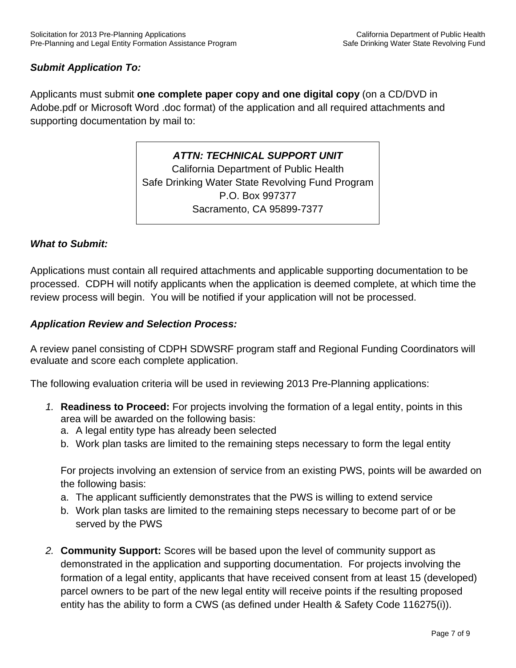# *Submit Application To:*

Applicants must submit **one complete paper copy and one digital copy** (on a CD/DVD in Adobe.pdf or Microsoft Word .doc format) of the application and all required attachments and supporting documentation by mail to:

> *ATTN: TECHNICAL SUPPORT UNIT*  California Department of Public Health Safe Drinking Water State Revolving Fund Program P.O. Box 997377 Sacramento, CA 95899-7377

#### *What to Submit:*

Applications must contain all required attachments and applicable supporting documentation to be processed. CDPH will notify applicants when the application is deemed complete, at which time the review process will begin. You will be notified if your application will not be processed.

#### *Application Review and Selection Process:*

A review panel consisting of CDPH SDWSRF program staff and Regional Funding Coordinators will evaluate and score each complete application.

The following evaluation criteria will be used in reviewing 2013 Pre-Planning applications:

- *1.* **Readiness to Proceed:** For projects involving the formation of a legal entity, points in this area will be awarded on the following basis:
	- a. A legal entity type has already been selected
	- b. Work plan tasks are limited to the remaining steps necessary to form the legal entity

For projects involving an extension of service from an existing PWS, points will be awarded on the following basis:

- a. The applicant sufficiently demonstrates that the PWS is willing to extend service
- b. Work plan tasks are limited to the remaining steps necessary to become part of or be served by the PWS
- *2.* **Community Support:** Scores will be based upon the level of community support as demonstrated in the application and supporting documentation. For projects involving the formation of a legal entity, applicants that have received consent from at least 15 (developed) parcel owners to be part of the new legal entity will receive points if the resulting proposed entity has the ability to form a CWS (as defined under Health & Safety Code 116275(i)).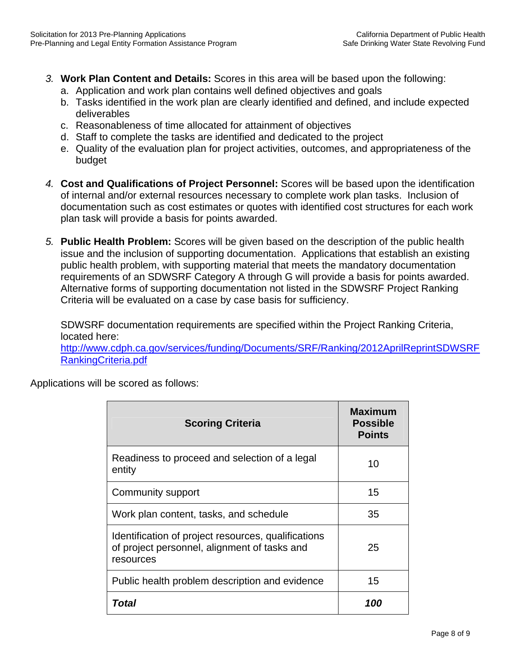- *3.* **Work Plan Content and Details:** Scores in this area will be based upon the following:
	- a. Application and work plan contains well defined objectives and goals
	- b. Tasks identified in the work plan are clearly identified and defined, and include expected deliverables
	- c. Reasonableness of time allocated for attainment of objectives
	- d. Staff to complete the tasks are identified and dedicated to the project
	- e. Quality of the evaluation plan for project activities, outcomes, and appropriateness of the budget
- *4.* **Cost and Qualifications of Project Personnel:** Scores will be based upon the identification of internal and/or external resources necessary to complete work plan tasks. Inclusion of documentation such as cost estimates or quotes with identified cost structures for each work plan task will provide a basis for points awarded.
- *5.* **Public Health Problem:** Scores will be given based on the description of the public health issue and the inclusion of supporting documentation. Applications that establish an existing public health problem, with supporting material that meets the mandatory documentation requirements of an SDWSRF Category A through G will provide a basis for points awarded. Alternative forms of supporting documentation not listed in the SDWSRF Project Ranking Criteria will be evaluated on a case by case basis for sufficiency.

SDWSRF documentation requirements are specified within the Project Ranking Criteria, located here:

http://www.cdph.ca.gov/services/funding/Documents/SRF/Ranking/2012AprilReprintSDWSRF RankingCriteria.pdf

Applications will be scored as follows:

| <b>Scoring Criteria</b>                                                                                          | Maximum<br><b>Possible</b><br><b>Points</b> |
|------------------------------------------------------------------------------------------------------------------|---------------------------------------------|
| Readiness to proceed and selection of a legal<br>entity                                                          | 10                                          |
| Community support                                                                                                | 15                                          |
| Work plan content, tasks, and schedule                                                                           | 35                                          |
| Identification of project resources, qualifications<br>of project personnel, alignment of tasks and<br>resources | 25                                          |
| Public health problem description and evidence                                                                   | 15                                          |
| Total                                                                                                            | 100                                         |